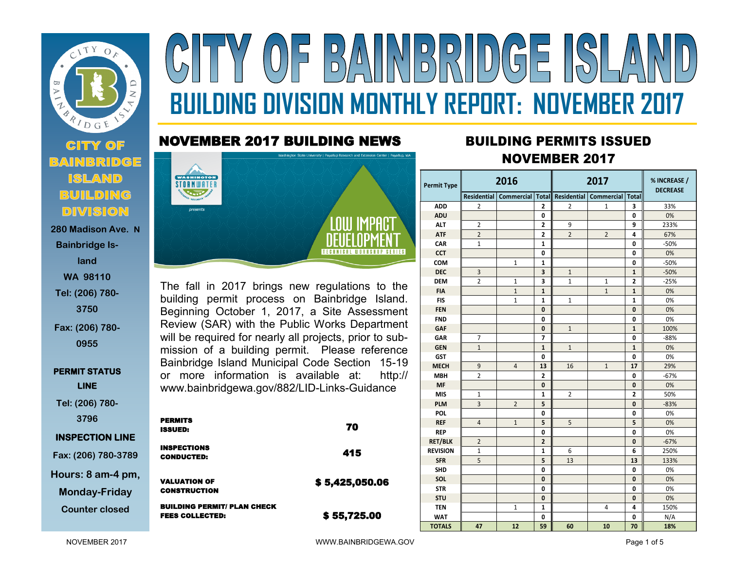

### **280 Madison Ave. N Bainbridge Island WA 98110 Tel: (206) 780- 3750 Fax: (206) 780-**

**0955**

**PERMIT STATUS LINE** 

**Tel: (206) 780- 3796**

#### **INSPECTION LINE**

**Fax: (206) 780-3789 Hours: 8 am-4 pm,** 

**Monday-Friday**

**Counter closed** 

# $(0)$  =  $|B\rangle$   $($   $||N$   $B\rangle$   $R$   $||D$   $G$  =  $|D\rangle$ **BUILDING DIVISION MONTHLY REPORT: NOVEMBER 2017**

### NOVEMBER 2017 BUILDING NEWS



The fall in 2017 brings new regulations to the building permit process on Bainbridge Island. Beginning October 1, 2017, a Site Assessment Review (SAR) with the Public Works Department will be required for nearly all projects, prior to submission of a building permit. Please reference Bainbridge Island Municipal Code Section 15-19 or more information is available at: http:// www.bainbridgewa.gov/882/LID-Links-Guidance

| <b>PERMITS</b><br><b>ISSUED:</b>                             | 70             |
|--------------------------------------------------------------|----------------|
| <b>INSPECTIONS</b><br><b>CONDUCTED:</b>                      | 415            |
| <b>VALUATION OF</b><br><b>CONSTRUCTION</b>                   | \$5,425,050.06 |
| <b>BUILDING PERMIT/ PLAN CHECK</b><br><b>FEES COLLECTED:</b> | \$55,725.00    |

## **<sup>2017</sup>** BUILDING PERMITS ISSUED NOVEMBER 2017

| Permit Type     | 2016           |                |                         | 2017           |                                                                     |                | % INCREASE /<br><b>DECREASE</b> |  |
|-----------------|----------------|----------------|-------------------------|----------------|---------------------------------------------------------------------|----------------|---------------------------------|--|
|                 |                |                |                         |                | Residential   Commercial   Total   Residential   Commercial   Total |                |                                 |  |
| <b>ADD</b>      | 2              |                | 2                       | 2              | 1                                                                   | 3              | 33%                             |  |
| <b>ADU</b>      |                |                | 0                       |                |                                                                     | 0              | 0%                              |  |
| <b>ALT</b>      | 2              |                | $\mathbf{2}$            | 9              |                                                                     | 9              | 233%                            |  |
| <b>ATF</b>      | $\overline{2}$ |                | $\overline{\mathbf{2}}$ | $\overline{2}$ | $\overline{2}$                                                      | 4              | 67%                             |  |
| CAR             | $\mathbf{1}$   |                | $\mathbf{1}$            |                |                                                                     | 0              | $-50%$                          |  |
| <b>CCT</b>      |                |                | 0                       |                |                                                                     | 0              | 0%                              |  |
| COM             |                | $\mathbf{1}$   | $\mathbf{1}$            |                |                                                                     | 0              | $-50%$                          |  |
| <b>DEC</b>      | 3              |                | 3                       | $\mathbf{1}$   |                                                                     | $\mathbf{1}$   | $-50%$                          |  |
| <b>DEM</b>      | $\overline{2}$ | $\mathbf{1}$   | 3                       | $\mathbf{1}$   | $\mathbf{1}$                                                        | $\overline{2}$ | $-25%$                          |  |
| <b>FIA</b>      |                | $\mathbf{1}$   | $\mathbf{1}$            |                | $\mathbf{1}$                                                        | 1              | 0%                              |  |
| <b>FIS</b>      |                | 1              | 1                       | 1              |                                                                     | 1              | 0%                              |  |
| <b>FEN</b>      |                |                | 0                       |                |                                                                     | 0              | 0%                              |  |
| <b>FND</b>      |                |                | 0                       |                |                                                                     | 0              | 0%                              |  |
| <b>GAF</b>      |                |                | 0                       | $\mathbf{1}$   |                                                                     | $\mathbf 1$    | 100%                            |  |
| GAR             | 7              |                | 7                       |                |                                                                     | 0              | $-88%$                          |  |
| <b>GEN</b>      | $\mathbf{1}$   |                | $\mathbf{1}$            | $\mathbf{1}$   |                                                                     | $\mathbf{1}$   | 0%                              |  |
| <b>GST</b>      |                |                | 0                       |                |                                                                     | 0              | 0%                              |  |
| <b>MECH</b>     | 9              | $\overline{4}$ | 13                      | 16             | $\mathbf{1}$                                                        | 17             | 29%                             |  |
| <b>MBH</b>      | $\overline{2}$ |                | $\overline{2}$          |                |                                                                     | $\mathbf{0}$   | $-67%$                          |  |
| <b>MF</b>       |                |                | 0                       |                |                                                                     | 0              | 0%                              |  |
| <b>MIS</b>      | 1              |                | $\mathbf{1}$            | $\overline{2}$ |                                                                     | $\overline{2}$ | 50%                             |  |
| <b>PLM</b>      | $\overline{3}$ | $\overline{2}$ | 5                       |                |                                                                     | 0              | $-83%$                          |  |
| <b>POL</b>      |                |                | $\mathbf 0$             |                |                                                                     | 0              | 0%                              |  |
| <b>REF</b>      | 4              | $\mathbf{1}$   | 5                       | 5              |                                                                     | 5              | 0%                              |  |
| <b>REP</b>      |                |                | 0                       |                |                                                                     | 0              | 0%                              |  |
| <b>RET/BLK</b>  | $\overline{2}$ |                | $\overline{\mathbf{2}}$ |                |                                                                     | 0              | $-67%$                          |  |
| <b>REVISION</b> | 1              |                | 1                       | 6              |                                                                     | 6              | 250%                            |  |
| <b>SFR</b>      | 5              |                | 5                       | 13             |                                                                     | 13             | 133%                            |  |
| <b>SHD</b>      |                |                | 0                       |                |                                                                     | 0              | 0%                              |  |
| SOL             |                |                | 0                       |                |                                                                     | 0              | 0%                              |  |
| <b>STR</b>      |                |                | 0                       |                |                                                                     | 0              | 0%                              |  |
| <b>STU</b>      |                |                | 0                       |                |                                                                     | 0              | 0%                              |  |
| <b>TEN</b>      |                | 1              | $\mathbf{1}$            |                | 4                                                                   | 4              | 150%                            |  |
| <b>WAT</b>      |                |                | 0                       |                |                                                                     | 0              | N/A                             |  |
| <b>TOTALS</b>   | 47             | 12             | 59                      | 60             | 10                                                                  | 70             | 18%                             |  |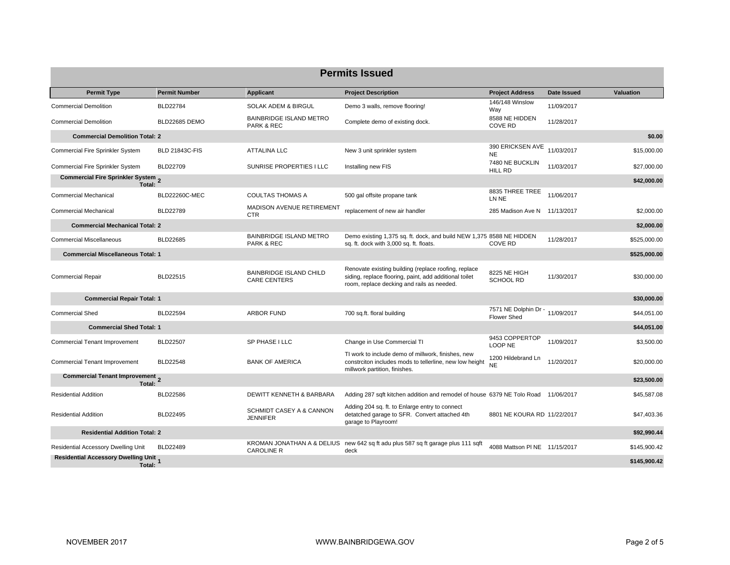| <b>Permits Issued</b>                                  |                       |                                                       |                                                                                                                                                              |                                                       |             |              |  |  |
|--------------------------------------------------------|-----------------------|-------------------------------------------------------|--------------------------------------------------------------------------------------------------------------------------------------------------------------|-------------------------------------------------------|-------------|--------------|--|--|
| <b>Permit Type</b>                                     | <b>Permit Number</b>  | <b>Applicant</b>                                      | <b>Project Description</b>                                                                                                                                   | <b>Project Address</b>                                | Date Issued | Valuation    |  |  |
| <b>Commercial Demolition</b>                           | <b>BLD22784</b>       | <b>SOLAK ADEM &amp; BIRGUL</b>                        | Demo 3 walls, remove flooring!                                                                                                                               | 146/148 Winslow<br>Way                                | 11/09/2017  |              |  |  |
| <b>Commercial Demolition</b>                           | BLD22685 DEMO         | <b>BAINBRIDGE ISLAND METRO</b><br>PARK & REC          | Complete demo of existing dock.                                                                                                                              | 8588 NE HIDDEN<br><b>COVE RD</b>                      | 11/28/2017  |              |  |  |
| <b>Commercial Demolition Total: 2</b>                  |                       |                                                       |                                                                                                                                                              |                                                       |             | \$0.00       |  |  |
| Commercial Fire Sprinkler System                       | <b>BLD 21843C-FIS</b> | <b>ATTALINA LLC</b>                                   | New 3 unit sprinkler system                                                                                                                                  | 390 ERICKSEN AVE<br><b>NE</b>                         | 11/03/2017  | \$15,000.00  |  |  |
| Commercial Fire Sprinkler System                       | <b>BLD22709</b>       | SUNRISE PROPERTIES I LLC                              | Installing new FIS                                                                                                                                           | 7480 NE BUCKLIN<br><b>HILL RD</b>                     | 11/03/2017  | \$27,000.00  |  |  |
| Commercial Fire Sprinkler System 2<br>Total:           |                       |                                                       |                                                                                                                                                              |                                                       |             | \$42,000.00  |  |  |
| <b>Commercial Mechanical</b>                           | <b>BLD22260C-MEC</b>  | <b>COULTAS THOMAS A</b>                               | 500 gal offsite propane tank                                                                                                                                 | 8835 THREE TREE<br>LN NE                              | 11/06/2017  |              |  |  |
| <b>Commercial Mechanical</b>                           | BLD22789              | MADISON AVENUE RETIREMENT<br><b>CTR</b>               | replacement of new air handler                                                                                                                               | 285 Madison Ave N 11/13/2017                          |             | \$2,000.00   |  |  |
| <b>Commercial Mechanical Total: 2</b>                  |                       |                                                       |                                                                                                                                                              |                                                       |             | \$2,000.00   |  |  |
| <b>Commercial Miscellaneous</b>                        | <b>BLD22685</b>       | <b>BAINBRIDGE ISLAND METRO</b><br>PARK & REC          | Demo existing 1,375 sq. ft. dock, and build NEW 1,375 8588 NE HIDDEN<br>sq. ft. dock with 3,000 sq. ft. floats.                                              | <b>COVE RD</b>                                        | 11/28/2017  | \$525,000.00 |  |  |
| <b>Commercial Miscellaneous Total: 1</b>               |                       |                                                       |                                                                                                                                                              |                                                       |             | \$525,000.00 |  |  |
| <b>Commercial Repair</b>                               | BLD22515              | <b>BAINBRIDGE ISLAND CHILD</b><br><b>CARE CENTERS</b> | Renovate existing building (replace roofing, replace<br>siding, replace flooring, paint, add additional toilet<br>room, replace decking and rails as needed. | 8225 NE HIGH<br><b>SCHOOL RD</b>                      | 11/30/2017  | \$30,000.00  |  |  |
| <b>Commercial Repair Total: 1</b>                      |                       |                                                       |                                                                                                                                                              |                                                       |             | \$30,000.00  |  |  |
| <b>Commercial Shed</b>                                 | <b>BLD22594</b>       | <b>ARBOR FUND</b>                                     | 700 sq.ft. floral building                                                                                                                                   | 7571 NE Dolphin Dr - 11/09/2017<br><b>Flower Shed</b> |             | \$44,051.00  |  |  |
| <b>Commercial Shed Total: 1</b>                        |                       |                                                       |                                                                                                                                                              |                                                       |             | \$44,051.00  |  |  |
| <b>Commercial Tenant Improvement</b>                   | <b>BLD22507</b>       | SP PHASE I LLC                                        | Change in Use Commercial TI                                                                                                                                  | 9453 COPPERTOP<br>LOOP NE                             | 11/09/2017  | \$3,500.00   |  |  |
| <b>Commercial Tenant Improvement</b>                   | <b>BLD22548</b>       | <b>BANK OF AMERICA</b>                                | TI work to include demo of millwork, finishes, new<br>constrciton includes mods to tellerline, new low height<br>millwork partition, finishes.               | 1200 Hildebrand Ln<br><b>NE</b>                       | 11/20/2017  | \$20,000.00  |  |  |
| Commercial Tenant Improvement 2<br>Total:              |                       |                                                       |                                                                                                                                                              |                                                       |             | \$23,500.00  |  |  |
| <b>Residential Addition</b>                            | <b>BLD22586</b>       | DEWITT KENNETH & BARBARA                              | Adding 287 sqft kitchen addition and remodel of house 6379 NE Tolo Road 11/06/2017                                                                           |                                                       |             | \$45,587.08  |  |  |
| <b>Residential Addition</b>                            | <b>BLD22495</b>       | SCHMIDT CASEY A & CANNON<br><b>JENNIFER</b>           | Adding 204 sq. ft. to Enlarge entry to connect<br>detatched garage to SFR. Convert attached 4th<br>garage to Playroom!                                       | 8801 NE KOURA RD 11/22/2017                           |             | \$47,403.36  |  |  |
| <b>Residential Addition Total: 2</b>                   |                       |                                                       |                                                                                                                                                              |                                                       |             | \$92,990.44  |  |  |
| Residential Accessory Dwelling Unit                    | BLD22489              | <b>CAROLINE R</b>                                     | KROMAN JONATHAN A & DELIUS new 642 sq ft adu plus 587 sq ft garage plus 111 sqft<br>deck                                                                     | 4088 Mattson PI NE 11/15/2017                         |             | \$145,900.42 |  |  |
| <b>Residential Accessory Dwelling Unit 1</b><br>Total: |                       |                                                       |                                                                                                                                                              |                                                       |             | \$145,900.42 |  |  |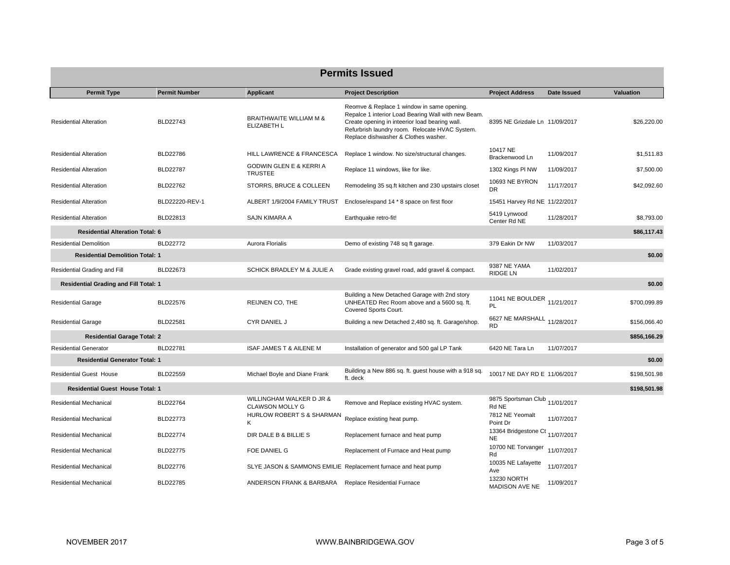| <b>Permits Issued</b>                        |                      |                                                      |                                                                                                                                                                                                                                               |                                              |             |                  |  |  |
|----------------------------------------------|----------------------|------------------------------------------------------|-----------------------------------------------------------------------------------------------------------------------------------------------------------------------------------------------------------------------------------------------|----------------------------------------------|-------------|------------------|--|--|
| <b>Permit Type</b>                           | <b>Permit Number</b> | <b>Applicant</b>                                     | <b>Project Description</b>                                                                                                                                                                                                                    | <b>Project Address</b>                       | Date Issued | <b>Valuation</b> |  |  |
| <b>Residential Alteration</b>                | BLD22743             | <b>BRAITHWAITE WILLIAM M &amp;</b><br>ELIZABETH L    | Reomve & Replace 1 window in same opening.<br>Repalce 1 interior Load Bearing Wall with new Beam.<br>Create opening in inteerior load bearing wall.<br>Refurbrish laundry room. Relocate HVAC System.<br>Replace dishwasher & Clothes washer. | 8395 NE Grizdale Ln 11/09/2017               |             | \$26,220.00      |  |  |
| <b>Residential Alteration</b>                | BLD22786             | HILL LAWRENCE & FRANCESCA                            | Replace 1 window. No size/structural changes.                                                                                                                                                                                                 | 10417 NE<br>Brackenwood Ln                   | 11/09/2017  | \$1,511.83       |  |  |
| <b>Residential Alteration</b>                | <b>BLD22787</b>      | <b>GODWIN GLEN E &amp; KERRI A</b><br><b>TRUSTEE</b> | Replace 11 windows, like for like.                                                                                                                                                                                                            | 1302 Kings PI NW                             | 11/09/2017  | \$7,500.00       |  |  |
| <b>Residential Alteration</b>                | BLD22762             | STORRS, BRUCE & COLLEEN                              | Remodeling 35 sq.ft kitchen and 230 upstairs closet                                                                                                                                                                                           | 10693 NE BYRON<br>DR                         | 11/17/2017  | \$42,092.60      |  |  |
| <b>Residential Alteration</b>                | BLD22220-REV-1       | ALBERT 1/9/2004 FAMILY TRUST                         | Enclose/expand 14 * 8 space on first floor                                                                                                                                                                                                    | 15451 Harvey Rd NE 11/22/2017                |             |                  |  |  |
| <b>Residential Alteration</b>                | BLD22813             | SAJN KIMARA A                                        | Earthquake retro-fit!                                                                                                                                                                                                                         | 5419 Lynwood<br>Center Rd NE                 | 11/28/2017  | \$8,793.00       |  |  |
| <b>Residential Alteration Total: 6</b>       |                      |                                                      |                                                                                                                                                                                                                                               |                                              |             | \$86,117.43      |  |  |
| <b>Residential Demolition</b>                | <b>BLD22772</b>      | Aurora Florialis                                     | Demo of existing 748 sq ft garage.                                                                                                                                                                                                            | 379 Eakin Dr NW                              | 11/03/2017  |                  |  |  |
| <b>Residential Demolition Total: 1</b>       |                      |                                                      |                                                                                                                                                                                                                                               |                                              |             | \$0.00           |  |  |
| Residential Grading and Fill                 | BLD22673             | SCHICK BRADLEY M & JULIE A                           | Grade existing gravel road, add gravel & compact.                                                                                                                                                                                             | 9387 NE YAMA<br><b>RIDGE LN</b>              | 11/02/2017  |                  |  |  |
| <b>Residential Grading and Fill Total: 1</b> |                      |                                                      |                                                                                                                                                                                                                                               |                                              |             | \$0.00           |  |  |
| <b>Residential Garage</b>                    | BLD22576             | REIJNEN CO, THE                                      | Building a New Detached Garage with 2nd story<br>UNHEATED Rec Room above and a 5600 sq. ft.<br>Covered Sports Court.                                                                                                                          | 11041 NE BOULDER 11/21/2017<br>PL            |             | \$700,099.89     |  |  |
| <b>Residential Garage</b>                    | <b>BLD22581</b>      | CYR DANIEL J                                         | Building a new Detached 2,480 sq. ft. Garage/shop.                                                                                                                                                                                            | 6627 NE MARSHALL 11/28/2017<br><b>RD</b>     |             | \$156,066.40     |  |  |
| <b>Residential Garage Total: 2</b>           |                      |                                                      |                                                                                                                                                                                                                                               |                                              |             | \$856,166.29     |  |  |
| <b>Residential Generator</b>                 | <b>BLD22781</b>      | <b>ISAF JAMES T &amp; AILENE M</b>                   | Installation of generator and 500 gal LP Tank                                                                                                                                                                                                 | 6420 NE Tara Ln                              | 11/07/2017  |                  |  |  |
| <b>Residential Generator Total: 1</b>        |                      |                                                      |                                                                                                                                                                                                                                               |                                              |             | \$0.00           |  |  |
| <b>Residential Guest House</b>               | BLD22559             | Michael Boyle and Diane Frank                        | Building a New 886 sq. ft. guest house with a 918 sq.<br>ft. deck                                                                                                                                                                             | 10017 NE DAY RD E 11/06/2017                 |             | \$198,501.98     |  |  |
| <b>Residential Guest House Total: 1</b>      |                      |                                                      |                                                                                                                                                                                                                                               |                                              |             | \$198,501.98     |  |  |
| Residential Mechanical                       | BLD22764             | WILLINGHAM WALKER D JR &<br><b>CLAWSON MOLLY G</b>   | Remove and Replace existing HVAC system.                                                                                                                                                                                                      | 9875 Sportsman Club 11/01/2017<br>Rd NE      |             |                  |  |  |
| Residential Mechanical                       | <b>BLD22773</b>      | HURLOW ROBERT S & SHARMAN<br>ĸ                       | Replace existing heat pump.                                                                                                                                                                                                                   | 7812 NE Yeomalt<br>Point Dr                  | 11/07/2017  |                  |  |  |
| <b>Residential Mechanical</b>                | <b>BLD22774</b>      | DIR DALE B & BILLIE S                                | Replacement furnace and heat pump                                                                                                                                                                                                             | 13364 Bridgestone Ct 11/07/2017<br><b>NE</b> |             |                  |  |  |
| Residential Mechanical                       | <b>BLD22775</b>      | FOE DANIEL G                                         | Replacement of Furnace and Heat pump                                                                                                                                                                                                          | 10700 NE Torvanger<br>Rd                     | 11/07/2017  |                  |  |  |
| Residential Mechanical                       | BLD22776             |                                                      | SLYE JASON & SAMMONS EMILIE Replacement furnace and heat pump                                                                                                                                                                                 | 10035 NE Lafayette<br>Ave                    | 11/07/2017  |                  |  |  |
| Residential Mechanical                       | BLD22785             | ANDERSON FRANK & BARBARA Replace Residential Furnace |                                                                                                                                                                                                                                               | 13230 NORTH<br><b>MADISON AVE NE</b>         | 11/09/2017  |                  |  |  |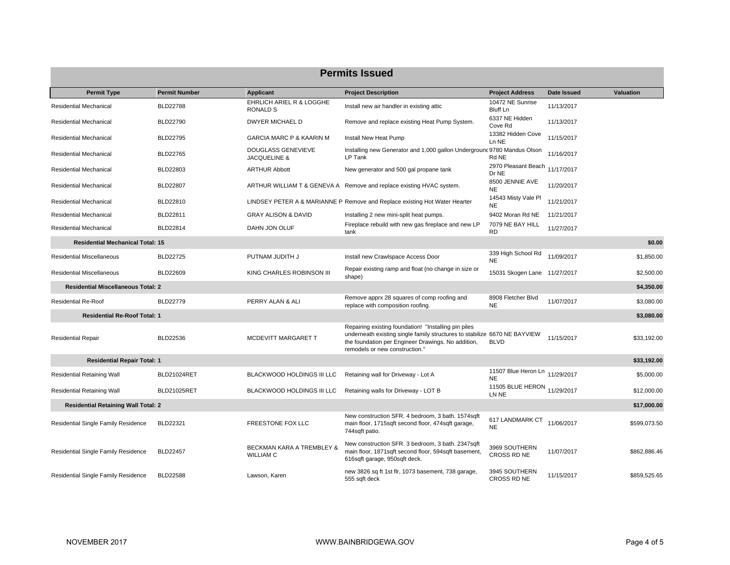| <b>Permits Issued</b>                      |                      |                                               |                                                                                                                                                                                                                           |                                             |             |                  |  |  |
|--------------------------------------------|----------------------|-----------------------------------------------|---------------------------------------------------------------------------------------------------------------------------------------------------------------------------------------------------------------------------|---------------------------------------------|-------------|------------------|--|--|
| <b>Permit Type</b>                         | <b>Permit Number</b> | Applicant                                     | <b>Project Description</b>                                                                                                                                                                                                | <b>Project Address</b>                      | Date Issued | <b>Valuation</b> |  |  |
| <b>Residential Mechanical</b>              | <b>BLD22788</b>      | EHRLICH ARIEL R & LOGGHE<br><b>RONALD S</b>   | Install new air handler in existing attic                                                                                                                                                                                 | 10472 NE Sunrise<br>Bluff Ln                | 11/13/2017  |                  |  |  |
| Residential Mechanical                     | <b>BLD22790</b>      | DWYER MICHAEL D                               | Remove and replace existing Heat Pump System.                                                                                                                                                                             | 6337 NE Hidden<br>Cove Rd                   | 11/13/2017  |                  |  |  |
| Residential Mechanical                     | BLD22795             | <b>GARCIA MARC P &amp; KAARIN M</b>           | Install New Heat Pump                                                                                                                                                                                                     | 13382 Hidden Cove<br>Ln NE                  | 11/15/2017  |                  |  |  |
| <b>Residential Mechanical</b>              | <b>BLD22765</b>      | <b>DOUGLASS GENEVIEVE</b><br>JACQUELINE &     | Installing new Generator and 1,000 gallon Undergrounc 9780 Mandus Olson<br>LP Tank                                                                                                                                        | Rd NE                                       | 11/16/2017  |                  |  |  |
| Residential Mechanical                     | BLD22803             | <b>ARTHUR Abbott</b>                          | New generator and 500 gal propane tank                                                                                                                                                                                    | 2970 Pleasant Beach<br>Dr NE                | 11/17/2017  |                  |  |  |
| Residential Mechanical                     | <b>BLD22807</b>      |                                               | ARTHUR WILLIAM T & GENEVA A Remove and replace existing HVAC system.                                                                                                                                                      | 8500 JENNIE AVE<br><b>NE</b>                | 11/20/2017  |                  |  |  |
| <b>Residential Mechanical</b>              | BLD22810             |                                               | LINDSEY PETER A & MARIANNE P Remove and Replace existing Hot Water Hearter                                                                                                                                                | 14543 Misty Vale PI<br><b>NE</b>            | 11/21/2017  |                  |  |  |
| Residential Mechanical                     | BLD22811             | <b>GRAY ALISON &amp; DAVID</b>                | Installing 2 new mini-split heat pumps.                                                                                                                                                                                   | 9402 Moran Rd NE                            | 11/21/2017  |                  |  |  |
| <b>Residential Mechanical</b>              | BLD22814             | DAHN JON OLUF                                 | Fireplace rebuild with new gas fireplace and new LP<br>tank                                                                                                                                                               | 7079 NE BAY HILL<br><b>RD</b>               | 11/27/2017  |                  |  |  |
| <b>Residential Mechanical Total: 15</b>    |                      |                                               |                                                                                                                                                                                                                           |                                             |             | \$0.00           |  |  |
| Residential Miscellaneous                  | <b>BLD22725</b>      | PUTNAM JUDITH J                               | Install new Crawlspace Access Door                                                                                                                                                                                        | 339 High School Rd<br><b>NE</b>             | 11/09/2017  | \$1,850.00       |  |  |
| <b>Residential Miscellaneous</b>           | BLD22609             | KING CHARLES ROBINSON III                     | Repair existing ramp and float (no change in size or<br>shape)                                                                                                                                                            | 15031 Skogen Lane 11/27/2017                |             | \$2,500.00       |  |  |
| <b>Residential Miscellaneous Total: 2</b>  |                      |                                               |                                                                                                                                                                                                                           |                                             |             | \$4,350.00       |  |  |
| <b>Residential Re-Roof</b>                 | BLD22779             | PERRY ALAN & ALI                              | Remove apprx 28 squares of comp roofing and<br>replace with composition roofing.                                                                                                                                          | 8908 Fletcher Blvd<br><b>NE</b>             | 11/07/2017  | \$3,080.00       |  |  |
| <b>Residential Re-Roof Total: 1</b>        |                      |                                               |                                                                                                                                                                                                                           |                                             |             | \$3,080.00       |  |  |
| <b>Residential Repair</b>                  | BLD22536             | MCDEVITT MARGARET T                           | Repairing existing foundation! "Installing pin piles<br>underneath existing single family structures to stabilize 6670 NE BAYVIEW<br>the foundation per Engineer Drawings. No addition,<br>remodels or new construction." | <b>BLVD</b>                                 | 11/15/2017  | \$33,192.00      |  |  |
| <b>Residential Repair Total: 1</b>         |                      |                                               |                                                                                                                                                                                                                           |                                             |             | \$33,192.00      |  |  |
| <b>Residential Retaining Wall</b>          | BLD21024RET          | BLACKWOOD HOLDINGS III LLC                    | Retaining wall for Driveway - Lot A                                                                                                                                                                                       | 11507 Blue Heron Ln 11/29/2017<br><b>NE</b> |             | \$5,000.00       |  |  |
| <b>Residential Retaining Wall</b>          | BLD21025RET          | BLACKWOOD HOLDINGS III LLC                    | Retaining walls for Driveway - LOT B                                                                                                                                                                                      | 11505 BLUE HERON 11/29/2017<br>LN NE        |             | \$12,000.00      |  |  |
| <b>Residential Retaining Wall Total: 2</b> |                      |                                               |                                                                                                                                                                                                                           |                                             |             | \$17,000.00      |  |  |
| Residential Single Family Residence        | <b>BLD22321</b>      | FREESTONE FOX LLC                             | New construction SFR. 4 bedroom, 3 bath. 1574sqft<br>main floor, 1715sqft second floor, 474sqft garage,<br>744sqft patio.                                                                                                 | 617 LANDMARK CT<br><b>NE</b>                | 11/06/2017  | \$599,073.50     |  |  |
| <b>Residential Single Family Residence</b> | <b>BLD22457</b>      | BECKMAN KARA A TREMBLEY &<br><b>WILLIAM C</b> | New construction SFR. 3 bedroom, 3 bath. 2347sqft<br>main floor, 1871sqft second floor, 594sqft basement,<br>616sqft garage, 950sqft deck.                                                                                | 3969 SOUTHERN<br>CROSS RD NE                | 11/07/2017  | \$862,886.46     |  |  |
| Residential Single Family Residence        | <b>BLD22588</b>      | Lawson, Karen                                 | new 3826 sq ft 1st flr, 1073 basement, 738 garage,<br>555 sqft deck                                                                                                                                                       | 3945 SOUTHERN<br>CROSS RD NE                | 11/15/2017  | \$859.525.65     |  |  |